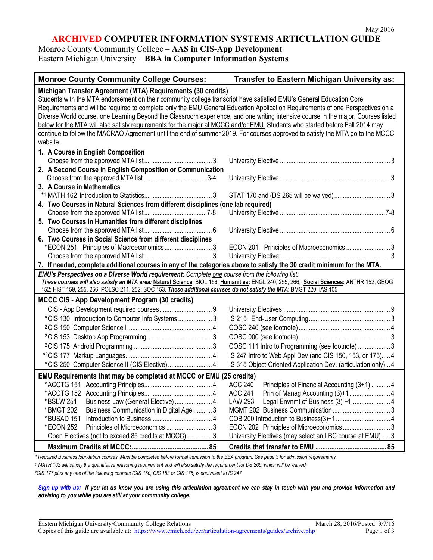## **ARCHIVED COMPUTER INFORMATION SYSTEMS ARTICULATION GUIDE**

Monroe County Community College – **AAS in CIS-App Development** Eastern Michigan University – **BBA in Computer Information Systems**

| <b>Monroe County Community College Courses:</b>                                                                                                                                                                                                                                                                                                                                                                                                                                                                                                                                                                                                                                                                                       | Transfer to Eastern Michigan University as:                   |  |
|---------------------------------------------------------------------------------------------------------------------------------------------------------------------------------------------------------------------------------------------------------------------------------------------------------------------------------------------------------------------------------------------------------------------------------------------------------------------------------------------------------------------------------------------------------------------------------------------------------------------------------------------------------------------------------------------------------------------------------------|---------------------------------------------------------------|--|
| Michigan Transfer Agreement (MTA) Requirements (30 credits)<br>Students with the MTA endorsement on their community college transcript have satisfied EMU's General Education Core<br>Requirements and will be required to complete only the EMU General Education Application Requirements of one Perspectives on a<br>Diverse World course, one Learning Beyond the Classroom experience, and one writing intensive course in the major. Courses listed<br>below for the MTA will also satisfy requirements for the major at MCCC and/or EMU. Students who started before Fall 2014 may<br>continue to follow the MACRAO Agreement until the end of summer 2019. For courses approved to satisfy the MTA go to the MCCC<br>website. |                                                               |  |
| 1. A Course in English Composition                                                                                                                                                                                                                                                                                                                                                                                                                                                                                                                                                                                                                                                                                                    |                                                               |  |
|                                                                                                                                                                                                                                                                                                                                                                                                                                                                                                                                                                                                                                                                                                                                       |                                                               |  |
| 2. A Second Course in English Composition or Communication                                                                                                                                                                                                                                                                                                                                                                                                                                                                                                                                                                                                                                                                            |                                                               |  |
|                                                                                                                                                                                                                                                                                                                                                                                                                                                                                                                                                                                                                                                                                                                                       |                                                               |  |
| 3. A Course in Mathematics                                                                                                                                                                                                                                                                                                                                                                                                                                                                                                                                                                                                                                                                                                            |                                                               |  |
|                                                                                                                                                                                                                                                                                                                                                                                                                                                                                                                                                                                                                                                                                                                                       |                                                               |  |
| 4. Two Courses in Natural Sciences from different disciplines (one lab required)                                                                                                                                                                                                                                                                                                                                                                                                                                                                                                                                                                                                                                                      |                                                               |  |
|                                                                                                                                                                                                                                                                                                                                                                                                                                                                                                                                                                                                                                                                                                                                       |                                                               |  |
| 5. Two Courses in Humanities from different disciplines                                                                                                                                                                                                                                                                                                                                                                                                                                                                                                                                                                                                                                                                               |                                                               |  |
|                                                                                                                                                                                                                                                                                                                                                                                                                                                                                                                                                                                                                                                                                                                                       |                                                               |  |
| 6. Two Courses in Social Science from different disciplines                                                                                                                                                                                                                                                                                                                                                                                                                                                                                                                                                                                                                                                                           |                                                               |  |
| *ECON 251 Principles of Macroeconomics3                                                                                                                                                                                                                                                                                                                                                                                                                                                                                                                                                                                                                                                                                               | ECON 201 Principles of Macroeconomics 3                       |  |
|                                                                                                                                                                                                                                                                                                                                                                                                                                                                                                                                                                                                                                                                                                                                       |                                                               |  |
| 7. If needed, complete additional courses in any of the categories above to satisfy the 30 credit minimum for the MTA.<br>EMU's Perspectives on a Diverse World requirement: Complete one course from the following list:                                                                                                                                                                                                                                                                                                                                                                                                                                                                                                             |                                                               |  |
| These courses will also satisfy an MTA area: Natural Science: BIOL 156; Humanities: ENGL 240, 255, 266; Social Sciences: ANTHR 152; GEOG<br>152; HIST 159, 255, 256; POLSC 211, 252; SOC 153. These additional courses do not satisfy the MTA: BMGT 220; IAS 105                                                                                                                                                                                                                                                                                                                                                                                                                                                                      |                                                               |  |
| <b>MCCC CIS - App Development Program (30 credits)</b>                                                                                                                                                                                                                                                                                                                                                                                                                                                                                                                                                                                                                                                                                |                                                               |  |
|                                                                                                                                                                                                                                                                                                                                                                                                                                                                                                                                                                                                                                                                                                                                       |                                                               |  |
| *CIS 130 Introduction to Computer Info Systems  3                                                                                                                                                                                                                                                                                                                                                                                                                                                                                                                                                                                                                                                                                     |                                                               |  |
|                                                                                                                                                                                                                                                                                                                                                                                                                                                                                                                                                                                                                                                                                                                                       |                                                               |  |
|                                                                                                                                                                                                                                                                                                                                                                                                                                                                                                                                                                                                                                                                                                                                       |                                                               |  |
|                                                                                                                                                                                                                                                                                                                                                                                                                                                                                                                                                                                                                                                                                                                                       | COSC 111 Intro to Programming (see footnote)  3               |  |
|                                                                                                                                                                                                                                                                                                                                                                                                                                                                                                                                                                                                                                                                                                                                       | IS 247 Intro to Web Appl Dev (and CIS 150, 153, or 175) 4     |  |
| *CIS 250 Computer Science II (CIS Elective) 4                                                                                                                                                                                                                                                                                                                                                                                                                                                                                                                                                                                                                                                                                         | IS 315 Object-Oriented Application Dev. (articulation only) 4 |  |
|                                                                                                                                                                                                                                                                                                                                                                                                                                                                                                                                                                                                                                                                                                                                       |                                                               |  |
| EMU Requirements that may be completed at MCCC or EMU (25 credits)                                                                                                                                                                                                                                                                                                                                                                                                                                                                                                                                                                                                                                                                    | <b>ACC 240</b>                                                |  |
|                                                                                                                                                                                                                                                                                                                                                                                                                                                                                                                                                                                                                                                                                                                                       | Principles of Financial Accounting (3+1)  4<br><b>ACC 241</b> |  |
| Business Law (General Elective)  4<br>*BSLW 251                                                                                                                                                                                                                                                                                                                                                                                                                                                                                                                                                                                                                                                                                       | Legal Envnmt of Business (3) +1 4<br><b>LAW 293</b>           |  |
| Business Communication in Digital Age  3<br>*BMGT 202                                                                                                                                                                                                                                                                                                                                                                                                                                                                                                                                                                                                                                                                                 |                                                               |  |
| *BUSAD 151                                                                                                                                                                                                                                                                                                                                                                                                                                                                                                                                                                                                                                                                                                                            |                                                               |  |
| *ECON 252                                                                                                                                                                                                                                                                                                                                                                                                                                                                                                                                                                                                                                                                                                                             | ECON 202 Principles of Microeconomics  3                      |  |
| Open Electives (not to exceed 85 credits at MCCC) 3                                                                                                                                                                                                                                                                                                                                                                                                                                                                                                                                                                                                                                                                                   | University Electives (may select an LBC course at EMU)  3     |  |
|                                                                                                                                                                                                                                                                                                                                                                                                                                                                                                                                                                                                                                                                                                                                       |                                                               |  |

*\* Required Business foundation courses. Must be completed before formal admission to the BBA program. See page 3 for admission requirements. <sup>1</sup> MATH 162 will satisfy the quantitative reasoning requirement and will also satisfy the requirement for DS 265, which will be waived.*

*2CIS 177 plus any one of the following courses (CIS 150, CIS 153 or CIS 175) is equivalent to IS 247*

*[Sign up with us:](https://www.emich.edu/ccr/articulation-agreements/signup.php) If you let us know you are using this articulation agreement we can stay in touch with you and provide information and advising to you while you are still at your community college.*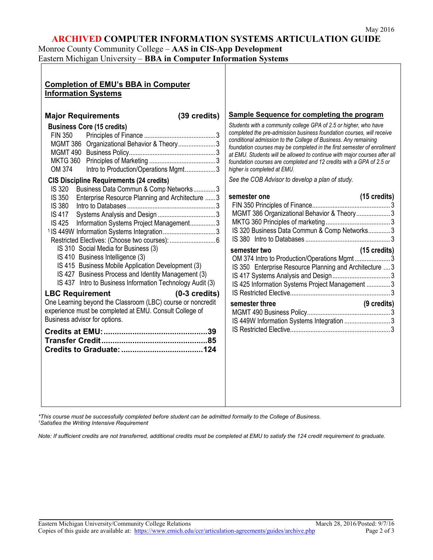#### **ARCHIVED COMPUTER INFORMATION SYSTEMS ARTICULATION GUIDE**

Monroe County Community College – **AAS in CIS-App Development** Eastern Michigan University – **BBA in Computer Information Systems**

| <b>Completion of EMU's BBA in Computer</b><br><b>Information Systems</b>                                                                                                                                                                                                                                                                                                                                                                                                                                                                                                                                                                                                                                                                                                                                                                                                                                                                                                                           |                                                                                                                                                                                                                                                                                                                                                                                                                                                                                                                                                                                                                                                                                                                                                                                                                                                                                                                                                                                                                    |
|----------------------------------------------------------------------------------------------------------------------------------------------------------------------------------------------------------------------------------------------------------------------------------------------------------------------------------------------------------------------------------------------------------------------------------------------------------------------------------------------------------------------------------------------------------------------------------------------------------------------------------------------------------------------------------------------------------------------------------------------------------------------------------------------------------------------------------------------------------------------------------------------------------------------------------------------------------------------------------------------------|--------------------------------------------------------------------------------------------------------------------------------------------------------------------------------------------------------------------------------------------------------------------------------------------------------------------------------------------------------------------------------------------------------------------------------------------------------------------------------------------------------------------------------------------------------------------------------------------------------------------------------------------------------------------------------------------------------------------------------------------------------------------------------------------------------------------------------------------------------------------------------------------------------------------------------------------------------------------------------------------------------------------|
| <b>Major Requirements</b><br>(39 credits)<br><b>Business Core (15 credits)</b><br><b>FIN 350</b><br>MGMT 386 Organizational Behavior & Theory 3<br>Intro to Production/Operations Mgmt3<br>OM 374<br><b>CIS Discipline Requirements (24 credits)</b><br>IS 320<br>Business Data Commun & Comp Networks3<br>Enterprise Resource Planning and Architecture  3<br><b>IS 350</b><br><b>IS 380</b><br><b>IS 417</b><br>IS 425<br>Information Systems Project Management3<br><sup>1</sup> IS 449W Information Systems Integration3<br>IS 310 Social Media for Business (3)<br>IS 410 Business Intelligence (3)<br>IS 415 Business Mobile Application Development (3)<br>IS 427 Business Process and Identity Management (3)<br>IS 437 Intro to Business Information Technology Audit (3)<br>$(0-3 \text{ credits})$<br><b>LBC Requirement</b><br>One Learning beyond the Classroom (LBC) course or noncredit<br>experience must be completed at EMU. Consult College of<br>Business advisor for options. | <b>Sample Sequence for completing the program</b><br>Students with a community college GPA of 2.5 or higher, who have<br>completed the pre-admission business foundation courses, will receive<br>conditional admission to the College of Business. Any remaining<br>foundation courses may be completed in the first semester of enrollment<br>at EMU. Students will be allowed to continue with major courses after all<br>foundation courses are completed and 12 credits with a GPA of 2.5 or<br>higher is completed at EMU.<br>See the COB Advisor to develop a plan of study.<br>semester one<br>$(15 \text{ credits})$<br>MGMT 386 Organizational Behavior & Theory3<br>IS 320 Business Data Commun & Comp Networks3<br>$(15 \text{ credits})$<br>semester two<br>OM 374 Intro to Production/Operations Mgmt3<br>IS 350 Enterprise Resource Planning and Architecture  3<br>IS 425 Information Systems Project Management  3<br>(9 credits)<br>semester three<br>IS 449W Information Systems Integration  3 |

*\*This course must be successfully completed before student can be admitted formally to the College of Business. 1 Satisfies the Writing Intensive Requirement*

*Note: If sufficient credits are not transferred, additional credits must be completed at EMU to satisfy the 124 credit requirement to graduate.*